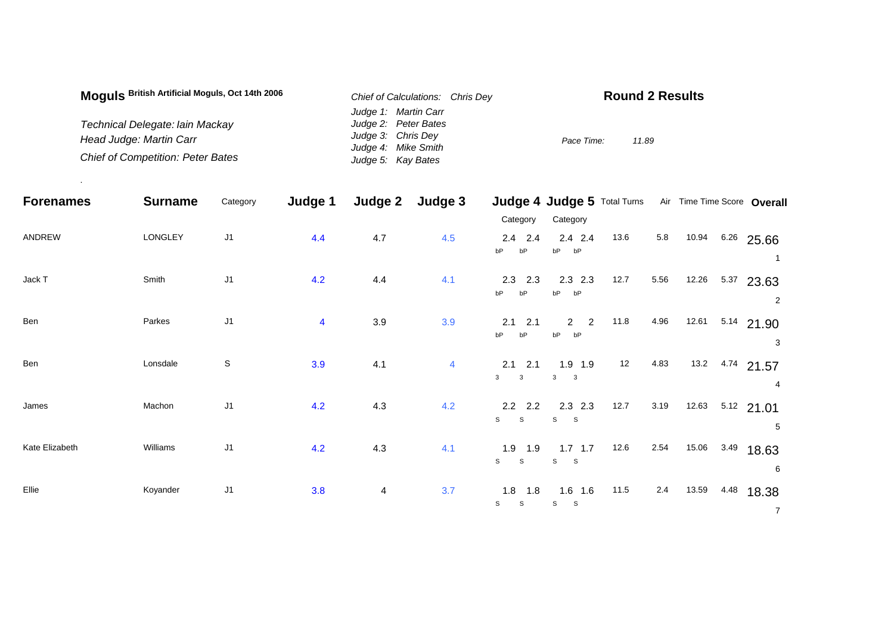| Moguls British Artificial Moguls, Oct 14th 2006 | Chief of Calculations: Chris Dev | <b>Round 2 Results</b> |
|-------------------------------------------------|----------------------------------|------------------------|
|                                                 | Judge 1: Martin Carr             |                        |
| Technical Delegate: lain Mackay                 | Judge 2: Peter Bates             |                        |
| Head Judge: Martin Carr                         | Judge 3: Chris Dey               | Pace Time:<br>11.89    |
|                                                 | Judge 4: Mike Smith              |                        |
| <b>Chief of Competition: Peter Bates</b>        | Judge 5: Kay Bates               |                        |

.

| <b>Forenames</b> | <b>Surname</b> | Category    | Judge 1        | Judge 2        | Judge 3        | Judge 4 Judge 5 Total Turns Air Time Time Score Overall<br>Category | Category                                 |      |      |                  |                      |
|------------------|----------------|-------------|----------------|----------------|----------------|---------------------------------------------------------------------|------------------------------------------|------|------|------------------|----------------------|
| ANDREW           | LONGLEY        | $\sf J1$    | 4.4            | 4.7            | 4.5            | $2.4$ 2.4<br>bP<br>bP                                               | $2.4$ 2.4<br>bP<br>bP                    | 13.6 | 5.8  | 10.94 6.26 25.66 | $\mathbf{1}$         |
| Jack T           | Smith          | $\sf J1$    | 4.2            | 4.4            | 4.1            | 2.3<br>2.3<br>bP<br>bP                                              | $2.3$ 2.3<br>bP<br>bP                    | 12.7 | 5.56 | 12.26 5.37 23.63 | 2                    |
| Ben              | Parkes         | $\sf J1$    | $\overline{4}$ | 3.9            | 3.9            | $2.1$ 2.1<br>bP<br>bP                                               | $2 \quad 2$<br>bP<br>bP                  | 11.8 | 4.96 | 12.61 5.14 21.90 | 3                    |
| Ben              | Lonsdale       | $\mathsf S$ | 3.9            | 4.1            | $\overline{4}$ | $2.1$ 2.1<br>$\mathbf{3}$<br>$\mathbf{3}$                           | $1.9$ 1.9<br>$3^{\circ}$<br>$\mathbf{3}$ | 12   | 4.83 |                  | 13.2 4.74 21.57<br>4 |
| James            | Machon         | J1          | 4.2            | 4.3            | 4.2            | S<br>S                                                              | 2.2 2.2 2.3 2.3<br>S<br>S.               | 12.7 | 3.19 | 12.63 5.12 21.01 | 5                    |
| Kate Elizabeth   | Williams       | J1          | 4.2            | 4.3            | 4.1            | S S                                                                 | 1.9  1.9  1.7  1.7  12.6<br>S<br>S       |      | 2.54 | 15.06 3.49 18.63 | 6                    |
| Ellie            | Koyander       | $\sf J1$    | 3.8            | $\overline{4}$ | 3.7            | S<br>S                                                              | 1.8  1.8  1.6  1.6<br>S<br>S             | 11.5 | 2.4  | 13.59 4.48 18.38 | $\overline{7}$       |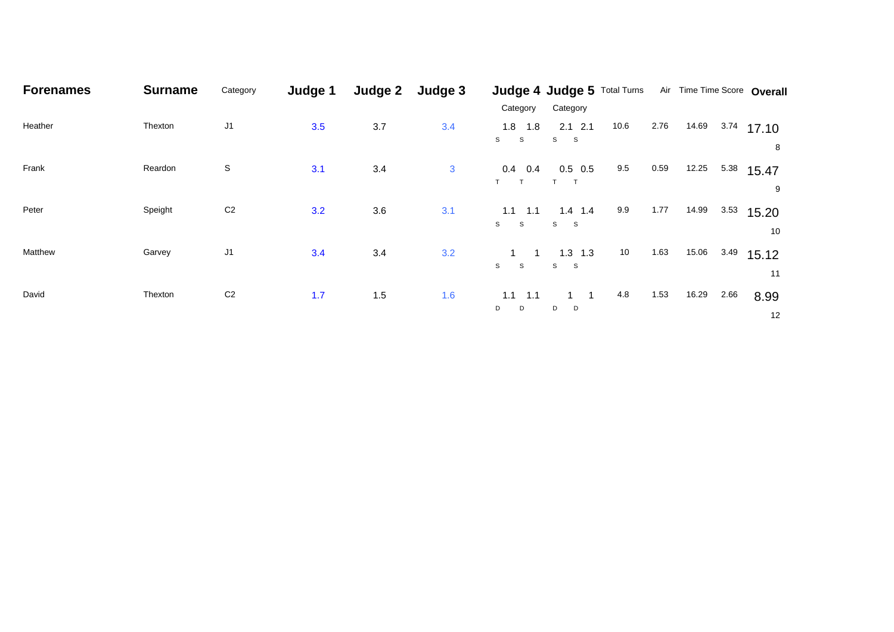| <b>Forenames</b> | <b>Surname</b> | Category       | Judge 1 | Judge 2 | Judge 3 | Category                        | Judge 4 Judge 5 Total Turns<br>Category |      |      | Air Time Time Score Overall |      |             |
|------------------|----------------|----------------|---------|---------|---------|---------------------------------|-----------------------------------------|------|------|-----------------------------|------|-------------|
| Heather          | Thexton        | J1             | 3.5     | 3.7     | 3.4     | $1.8$ 1.8<br>S<br>$\mathbf{s}$  | $2.1$ 2.1<br>S<br>$\mathbf{s}$          | 10.6 | 2.76 | 14.69                       | 3.74 | 17.10<br>8  |
| Frank            | Reardon        | S              | 3.1     | 3.4     | 3       | 0.4<br>0.4<br>T<br>$\top$       | $0.5$ 0.5<br>$T$ T                      | 9.5  | 0.59 | 12.25                       | 5.38 | 15.47<br>9  |
| Peter            | Speight        | C <sub>2</sub> | 3.2     | 3.6     | 3.1     | 1.1<br>1.1<br>S<br>$\mathbf{s}$ | $1.4$ 1.4<br>$S_S$                      | 9.9  | 1.77 | 14.99                       | 3.53 | 15.20<br>10 |
| Matthew          | Garvey         | J1             | 3.4     | 3.4     | 3.2     | $1 \quad 1$<br>S.<br>S          | $1.3$ 1.3<br>S<br>$\mathbf{s}$          | 10   | 1.63 | 15.06                       | 3.49 | 15.12<br>11 |
| David            | Thexton        | C <sub>2</sub> | 1.7     | 1.5     | 1.6     | 1.1<br>1.1<br>D<br>D            | $1 \quad 1$<br>D<br>D                   | 4.8  | 1.53 | 16.29                       | 2.66 | 8.99<br>12  |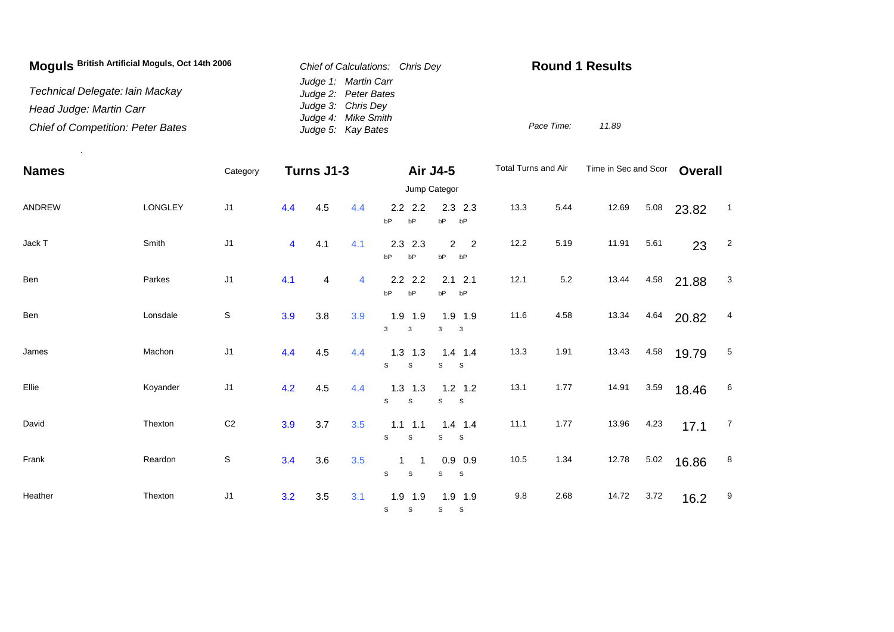| Moguls British Artificial Moguls, Oct 14th 2006 | Chief of Calculations: Chris Dev             | <b>Round 1 Results</b> |       |  |  |  |
|-------------------------------------------------|----------------------------------------------|------------------------|-------|--|--|--|
| Technical Delegate: Iain Mackay                 | Judge 1: Martin Carr<br>Judge 2: Peter Bates |                        |       |  |  |  |
| Head Judge: Martin Carr                         | Judge 3: Chris Dey                           |                        |       |  |  |  |
| <b>Chief of Competition: Peter Bates</b>        | Judge 4: Mike Smith<br>Judge 5: Kay Bates    | Pace Time:             | 11.89 |  |  |  |

.

| <b>Names</b> |          | Category       |                         | Turns J1-3 | Air J4-5       |                                          |                                              | Total Turns and Air |      | Time in Sec and Scor |      | <b>Overall</b> |                          |
|--------------|----------|----------------|-------------------------|------------|----------------|------------------------------------------|----------------------------------------------|---------------------|------|----------------------|------|----------------|--------------------------|
|              |          |                |                         |            |                |                                          | Jump Categor                                 |                     |      |                      |      |                |                          |
| ANDREW       | LONGLEY  | J1             | 4.4                     | 4.5        | 4.4            | 2.2<br>2.2<br>bP<br>bP                   | $2.3$ 2.3<br>bP<br>bP                        | 13.3                | 5.44 | 12.69                | 5.08 | 23.82          | $\overline{\phantom{1}}$ |
| Jack T       | Smith    | J <sub>1</sub> | $\overline{\mathbf{4}}$ | 4.1        | 4.1            | 2.3<br>2.3<br>bP<br>bP                   | $\overline{a}$<br>$\overline{2}$<br>bP<br>bP | 12.2                | 5.19 | 11.91                | 5.61 | 23             | $\overline{2}$           |
| Ben          | Parkes   | J <sub>1</sub> | 4.1                     | 4          | $\overline{4}$ | $2.2$ 2.2<br>bP<br>bP                    | 2.1<br>2.1<br>bP<br>bP                       | 12.1                | 5.2  | 13.44                | 4.58 | 21.88          | 3                        |
| Ben          | Lonsdale | S              | 3.9                     | 3.8        | 3.9            | $1.9$ 1.9<br>3<br>3                      | $1.9$ 1.9<br>3<br>$\overline{\mathbf{3}}$    | 11.6                | 4.58 | 13.34                | 4.64 | 20.82          | 4                        |
| James        | Machon   | J <sub>1</sub> | 4.4                     | 4.5        | 4.4            | $1.3$ 1.3<br>$\mathsf{s}$<br>$\mathsf S$ | $1.4$ 1.4<br>S<br><b>S</b>                   | 13.3                | 1.91 | 13.43                | 4.58 | 19.79          | 5                        |
| Ellie        | Koyander | J <sub>1</sub> | 4.2                     | 4.5        | 4.4            | $1.3$ 1.3<br>$\mathbb S$<br>S            | $1.2$ 1.2<br>S<br>$\mathbf{s}$               | 13.1                | 1.77 | 14.91                | 3.59 | 18.46          | 6                        |
| David        | Thexton  | C <sub>2</sub> | 3.9                     | 3.7        | 3.5            | $1.1$ 1.1<br>$\mathsf{s}$<br>$\mathsf S$ | $1.4$ 1.4<br>S<br><sub>S</sub>               | 11.1                | 1.77 | 13.96                | 4.23 | 17.1           | $\overline{7}$           |
| Frank        | Reardon  | $\mathbb S$    | 3.4                     | 3.6        | 3.5            | 1<br>$\mathbf{1}$<br>$\mathsf S$<br>S    | $0.9$ 0.9<br>S<br>$\mathbf{s}$               | 10.5                | 1.34 | 12.78                | 5.02 | 16.86          | 8                        |
| Heather      | Thexton  | J1             | 3.2                     | $3.5\,$    | 3.1            | $1.9$ 1.9<br>S<br>S                      | $1.9$ 1.9<br>S<br>$\mathbf{s}$               | 9.8                 | 2.68 | 14.72                | 3.72 | 16.2           | 9                        |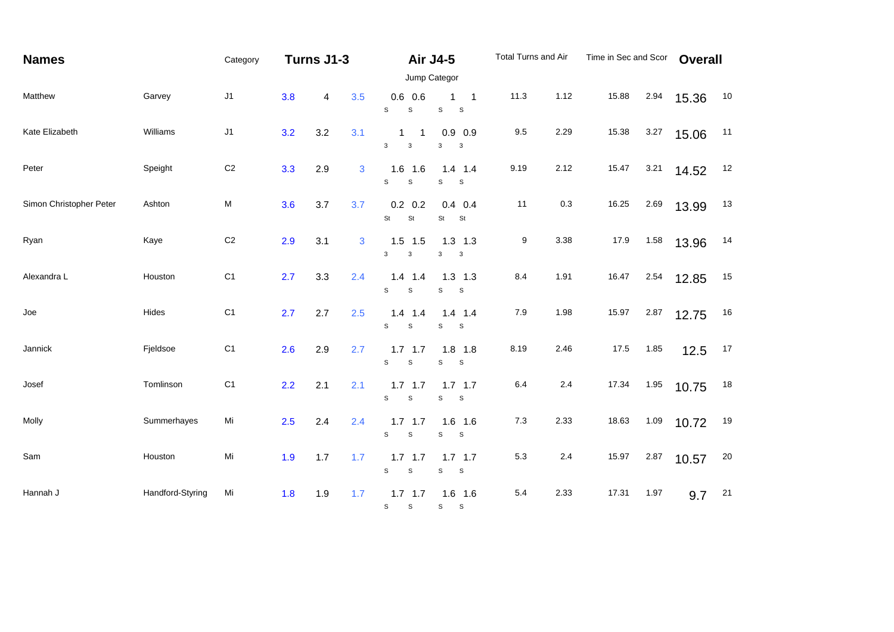| <b>Names</b>            |                  | Category       |     | Turns J1-3 |     |                                         | <b>Air J4-5</b>                             | Total Turns and Air |      | Time in Sec and Scor |      | <b>Overall</b> |    |
|-------------------------|------------------|----------------|-----|------------|-----|-----------------------------------------|---------------------------------------------|---------------------|------|----------------------|------|----------------|----|
|                         |                  |                |     |            |     |                                         | Jump Categor                                |                     |      |                      |      |                |    |
| Matthew                 | Garvey           | J <sub>1</sub> | 3.8 | 4          | 3.5 | $0.6$ 0.6<br>$\mathsf S$<br>S           | $\mathbf 1$<br>-1<br>$\mathbf S$<br>S       | 11.3                | 1.12 | 15.88                | 2.94 | 15.36          | 10 |
| Kate Elizabeth          | Williams         | J <sub>1</sub> | 3.2 | 3.2        | 3.1 | 1<br>-1<br>3<br>$\mathsf 3$             | $0.9$ 0.9<br>3<br>$\mathbf{3}$              | 9.5                 | 2.29 | 15.38                | 3.27 | 15.06          | 11 |
| Peter                   | Speight          | C <sub>2</sub> | 3.3 | 2.9        | 3   | $1.6$ 1.6<br>S<br>S                     | $1.4$ 1.4<br>S<br>$\mathsf S$               | 9.19                | 2.12 | 15.47                | 3.21 | 14.52          | 12 |
| Simon Christopher Peter | Ashton           | M              | 3.6 | 3.7        | 3.7 | $0.2 \quad 0.2$<br>St<br>St             | $0.4$ 0.4<br>St<br>St                       | 11                  | 0.3  | 16.25                | 2.69 | 13.99          | 13 |
| Ryan                    | Kaye             | C <sub>2</sub> | 2.9 | 3.1        | 3   | 1.5<br>1.5<br>3<br>$\mathsf 3$          | $1.3$ $1.3$<br>$\mathbf{3}$<br>$\mathbf{3}$ | 9                   | 3.38 | 17.9                 | 1.58 | 13.96          | 14 |
| Alexandra L             | Houston          | C <sub>1</sub> | 2.7 | 3.3        | 2.4 | 1.4<br>1.4<br>S<br>$\mathsf s$          | $1.3$ $1.3$<br>S<br>$\mathsf S$             | 8.4                 | 1.91 | 16.47                | 2.54 | 12.85          | 15 |
| Joe                     | Hides            | C <sub>1</sub> | 2.7 | 2.7        | 2.5 | $1.4$ 1.4<br>S<br>$\mathsf s$           | $1.4$ 1.4<br>S<br>$\mathsf S$               | $7.9$               | 1.98 | 15.97                | 2.87 | 12.75          | 16 |
| Jannick                 | Fjeldsoe         | C <sub>1</sub> | 2.6 | 2.9        | 2.7 | $1.7$ 1.7<br>$\mathbb S$<br>S           | $1.8$ 1.8<br>S<br>$\mathsf S$               | 8.19                | 2.46 | 17.5                 | 1.85 | 12.5           | 17 |
| Josef                   | Tomlinson        | C <sub>1</sub> | 2.2 | 2.1        | 2.1 | $1.7$ 1.7<br>$\mathsf S$<br>S           | $1.7$ 1.7<br>S<br>S                         | 6.4                 | 2.4  | 17.34                | 1.95 | 10.75          | 18 |
| Molly                   | Summerhayes      | Mi             | 2.5 | 2.4        | 2.4 | $1.7$ 1.7<br>S<br>$\mathsf S$           | $1.6$ 1.6<br>S<br>S                         | 7.3                 | 2.33 | 18.63                | 1.09 | 10.72          | 19 |
| Sam                     | Houston          | Mi             | 1.9 | 1.7        | 1.7 | $1.7$ 1.7<br>$\mathbb S$<br>$\mathsf S$ | $1.7$ 1.7<br>$\mathsf{s}$<br>S              | 5.3                 | 2.4  | 15.97                | 2.87 | 10.57          | 20 |
| Hannah J                | Handford-Styring | Mi             | 1.8 | 1.9        | 1.7 | $1.7$ 1.7<br>S<br>$\mathbb S$           | $1.6$ 1.6<br>S<br>$\mathsf S$               | 5.4                 | 2.33 | 17.31                | 1.97 | 9.7            | 21 |